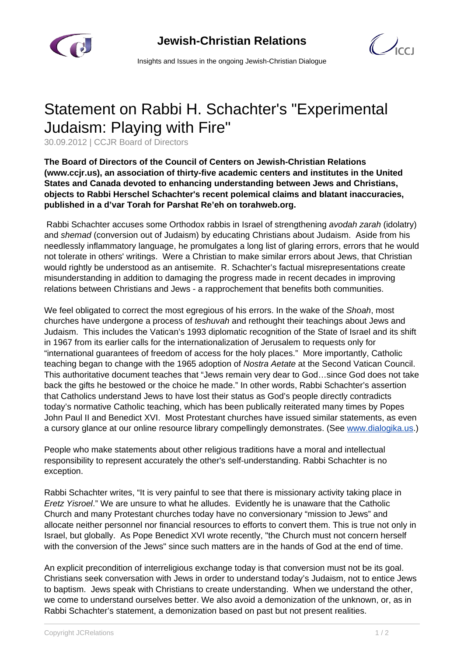

 $\mathcal{C}$ 

Insights and Issues in the ongoing Jewish-Christian Dialogue

## Statement on Rabbi H. Schachter's "Experimental Judaism: Playing with Fire"

30.09.2012 | CCJR Board of Directors

**The Board of Directors of the Council of Centers on Jewish-Christian Relations (www.ccjr.us), an association of thirty-five academic centers and institutes in the United States and Canada devoted to enhancing understanding between Jews and Christians, objects to Rabbi Herschel Schachter's recent polemical claims and blatant inaccuracies, published in a d'var Torah for Parshat Re'eh on torahweb.org.**

 Rabbi Schachter accuses some Orthodox rabbis in Israel of strengthening avodah zarah (idolatry) and shemad (conversion out of Judaism) by educating Christians about Judaism. Aside from his needlessly inflammatory language, he promulgates a long list of glaring errors, errors that he would not tolerate in others' writings. Were a Christian to make similar errors about Jews, that Christian would rightly be understood as an antisemite. R. Schachter's factual misrepresentations create misunderstanding in addition to damaging the progress made in recent decades in improving relations between Christians and Jews - a rapprochement that benefits both communities.

We feel obligated to correct the most egregious of his errors. In the wake of the Shoah, most churches have undergone a process of teshuvah and rethought their teachings about Jews and Judaism. This includes the Vatican's 1993 diplomatic recognition of the State of Israel and its shift in 1967 from its earlier calls for the internationalization of Jerusalem to requests only for "international guarantees of freedom of access for the holy places." More importantly, Catholic teaching began to change with the 1965 adoption of Nostra Aetate at the Second Vatican Council. This authoritative document teaches that "Jews remain very dear to God…since God does not take back the gifts he bestowed or the choice he made." In other words, Rabbi Schachter's assertion that Catholics understand Jews to have lost their status as God's people directly contradicts today's normative Catholic teaching, which has been publically reiterated many times by Popes John Paul II and Benedict XVI. Most Protestant churches have issued similar statements, as even a cursory glance at our online resource library compellingly demonstrates. (See [www.dialogika.us](http://www.dialogika.us).)

People who make statements about other religious traditions have a moral and intellectual responsibility to represent accurately the other's self-understanding. Rabbi Schachter is no exception.

Rabbi Schachter writes, "It is very painful to see that there is missionary activity taking place in Eretz Yisroel." We are unsure to what he alludes. Evidently he is unaware that the Catholic Church and many Protestant churches today have no conversionary "mission to Jews" and allocate neither personnel nor financial resources to efforts to convert them. This is true not only in Israel, but globally. As Pope Benedict XVI wrote recently, "the Church must not concern herself with the conversion of the Jews" since such matters are in the hands of God at the end of time.

An explicit precondition of interreligious exchange today is that conversion must not be its goal. Christians seek conversation with Jews in order to understand today's Judaism, not to entice Jews to baptism. Jews speak with Christians to create understanding. When we understand the other, we come to understand ourselves better. We also avoid a demonization of the unknown, or, as in Rabbi Schachter's statement, a demonization based on past but not present realities.